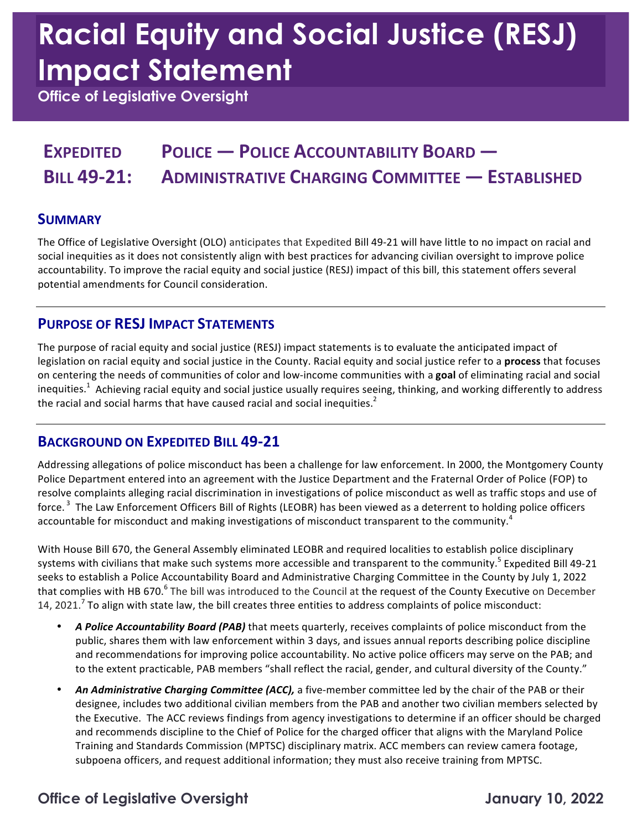# **Racial Equity and Social Justice (RESJ) Impact Statement**

 **Office of Legislative Oversight** 

### **EXPEDITED POLICE — POLICE ACCOUNTABILITY BOARD — BILL 49-21: ADMINISTRATIVE CHARGING COMMITTEE — ESTABLISHED**

#### **SUMMARY**

The Office of Legislative Oversight (OLO) anticipates that Expedited Bill 49-21 will have little to no impact on racial and social inequities as it does not consistently align with best practices for advancing civilian oversight to improve police accountability. To improve the racial equity and social justice (RESJ) impact of this bill, this statement offers several potential amendments for Council consideration.

#### **PURPOSE OF RESJ IMPACT STATEMENTS**

The purpose of racial equity and social justice (RESJ) impact statements is to evaluate the anticipated impact of legislation on racial equity and social justice in the County. Racial equity and social justice refer to a **process** that focuses on centering the needs of communities of color and low-income communities with a goal of eliminating racial and social inequities.<sup>1</sup> Achieving racial equity and social justice usually requires seeing, thinking, and working differently to address the racial and social harms that have caused racial and social inequities.<sup>2</sup>

#### **BACKGROUND ON EXPEDITED BILL 49-21**

Addressing allegations of police misconduct has been a challenge for law enforcement. In 2000, the Montgomery County Police Department entered into an agreement with the Justice Department and the Fraternal Order of Police (FOP) to resolve complaints alleging racial discrimination in investigations of police misconduct as well as traffic stops and use of force.<sup>3</sup> The Law Enforcement Officers Bill of Rights (LEOBR) has been viewed as a deterrent to holding police officers accountable for misconduct and making investigations of misconduct transparent to the community.<sup>4</sup>

 With House Bill 670, the General Assembly eliminated LEOBR and required localities to establish police disciplinary systems with civilians that make such systems more accessible and transparent to the community.<sup>5</sup> Expedited Bill 49-21 seeks to establish a Police Accountability Board and Administrative Charging Committee in the County by July 1, 2022 that complies with HB 670.<sup>6</sup> The bill was introduced to the Council at the request of the County Executive on December 14, 2021.<sup>7</sup> To align with state law, the bill creates three entities to address complaints of police misconduct:

- A Police Accountability Board *(PAB)* that meets quarterly, receives complaints of police misconduct from the public, shares them with law enforcement within 3 days, and issues annual reports describing police discipline and recommendations for improving police accountability. No active police officers may serve on the PAB; and to the extent practicable, PAB members "shall reflect the racial, gender, and cultural diversity of the County."
- An *Administrative Charging Committee (ACC),* a five-member committee led by the chair of the PAB or their designee, includes two additional civilian members from the PAB and another two civilian members selected by the Executive. The ACC reviews findings from agency investigations to determine if an officer should be charged and recommends discipline to the Chief of Police for the charged officer that aligns with the Maryland Police Training and Standards Commission (MPTSC) disciplinary matrix. ACC members can review camera footage, subpoena officers, and request additional information; they must also receive training from MPTSC.

#### **Office of Legislative Oversight January 10, 2022**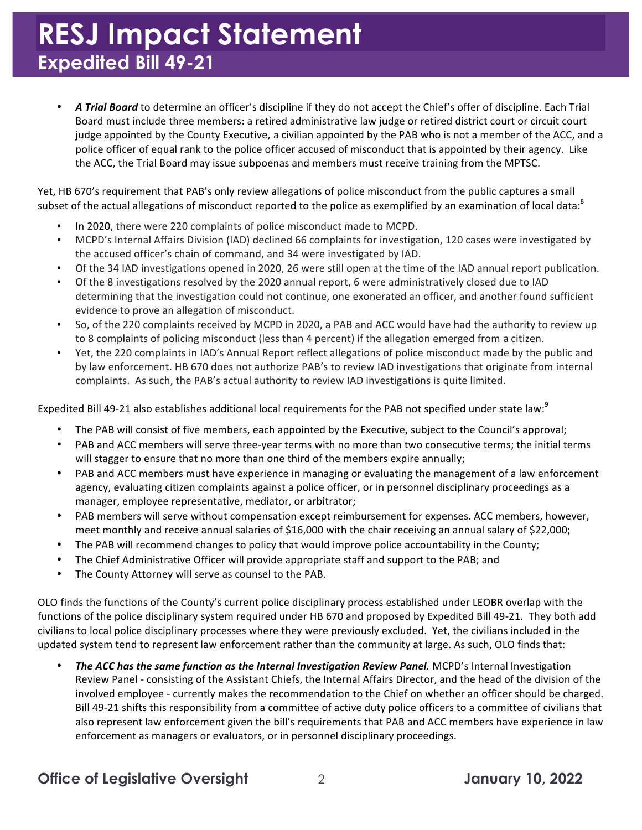• A Trial Board to determine an officer's discipline if they do not accept the Chief's offer of discipline. Each Trial Board must include three members: a retired administrative law judge or retired district court or circuit court judge appointed by the County Executive, a civilian appointed by the PAB who is not a member of the ACC, and a police officer of equal rank to the police officer accused of misconduct that is appointed by their agency. Like the ACC, the Trial Board may issue subpoenas and members must receive training from the MPTSC.

Yet, HB 670's requirement that PAB's only review allegations of police misconduct from the public captures a small subset of the actual allegations of misconduct reported to the police as exemplified by an examination of local data:<sup>8</sup>

- In 2020, there were 220 complaints of police misconduct made to MCPD.
- MCPD's Internal Affairs Division (IAD) declined 66 complaints for investigation, 120 cases were investigated by the accused officer's chain of command, and 34 were investigated by IAD.
- Of the 34 IAD investigations opened in 2020, 26 were still open at the time of the IAD annual report publication.
- Of the 8 investigations resolved by the 2020 annual report, 6 were administratively closed due to IAD determining that the investigation could not continue, one exonerated an officer, and another found sufficient evidence to prove an allegation of misconduct.
- So, of the 220 complaints received by MCPD in 2020, a PAB and ACC would have had the authority to review up to 8 complaints of policing misconduct (less than 4 percent) if the allegation emerged from a citizen.
- Yet, the 220 complaints in IAD's Annual Report reflect allegations of police misconduct made by the public and by law enforcement. HB 670 does not authorize PAB's to review IAD investigations that originate from internal complaints. As such, the PAB's actual authority to review IAD investigations is quite limited.

Expedited Bill 49-21 also establishes additional local requirements for the PAB not specified under state law: $^9$ 

- The PAB will consist of five members, each appointed by the Executive, subject to the Council's approval;
- PAB and ACC members will serve three-year terms with no more than two consecutive terms; the initial terms will stagger to ensure that no more than one third of the members expire annually;
- PAB and ACC members must have experience in managing or evaluating the management of a law enforcement agency, evaluating citizen complaints against a police officer, or in personnel disciplinary proceedings as a manager, employee representative, mediator, or arbitrator;
- PAB members will serve without compensation except reimbursement for expenses. ACC members, however, meet monthly and receive annual salaries of \$16,000 with the chair receiving an annual salary of \$22,000;
- The PAB will recommend changes to policy that would improve police accountability in the County;
- The Chief Administrative Officer will provide appropriate staff and support to the PAB; and
- The County Attorney will serve as counsel to the PAB.

OLO finds the functions of the County's current police disciplinary process established under LEOBR overlap with the functions of the police disciplinary system required under HB 670 and proposed by Expedited Bill 49-21. They both add civilians to local police disciplinary processes where they were previously excluded. Yet, the civilians included in the updated system tend to represent law enforcement rather than the community at large. As such, OLO finds that:

 • *The ACC has the same function as the Internal Investigation Review Panel.* MCPD's Internal Investigation Review Panel - consisting of the Assistant Chiefs, the Internal Affairs Director, and the head of the division of the involved employee - currently makes the recommendation to the Chief on whether an officer should be charged. Bill 49-21 shifts this responsibility from a committee of active duty police officers to a committee of civilians that also represent law enforcement given the bill's requirements that PAB and ACC members have experience in law enforcement as managers or evaluators, or in personnel disciplinary proceedings. 

#### **Office of Legislative Oversight** 2 **January 10, 2022**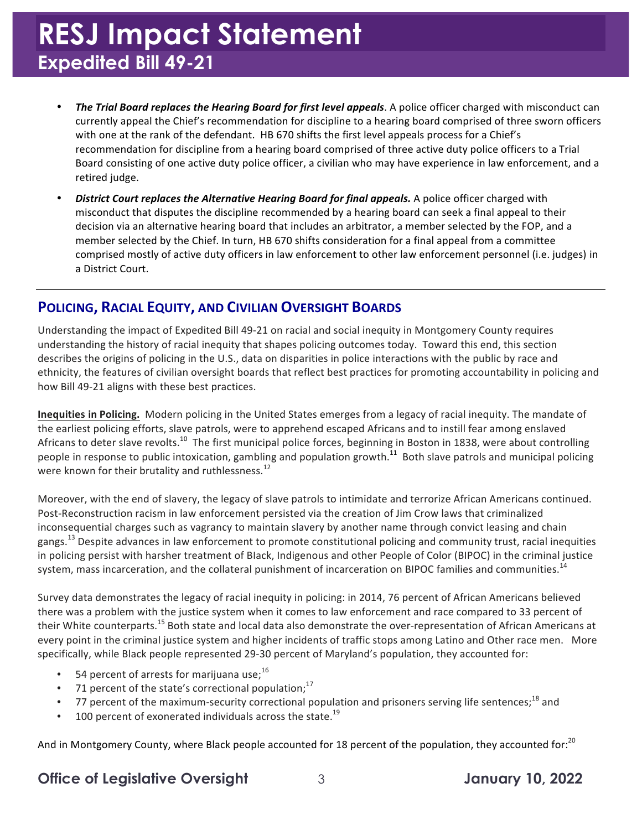- **The Trial Board replaces the Hearing Board for first level appeals.** A police officer charged with misconduct can currently appeal the Chief's recommendation for discipline to a hearing board comprised of three sworn officers with one at the rank of the defendant. HB 670 shifts the first level appeals process for a Chief's recommendation for discipline from a hearing board comprised of three active duty police officers to a Trial Board consisting of one active duty police officer, a civilian who may have experience in law enforcement, and a retired judge.
- **•** District Court replaces the Alternative Hearing Board for final appeals. A police officer charged with misconduct that disputes the discipline recommended by a hearing board can seek a final appeal to their decision via an alternative hearing board that includes an arbitrator, a member selected by the FOP, and a member selected by the Chief. In turn, HB 670 shifts consideration for a final appeal from a committee comprised mostly of active duty officers in law enforcement to other law enforcement personnel (i.e. judges) in a District Court.

#### **POLICING, RACIAL EQUITY, AND CIVILIAN OVERSIGHT BOARDS**

Understanding the impact of Expedited Bill 49-21 on racial and social inequity in Montgomery County requires understanding the history of racial inequity that shapes policing outcomes today. Toward this end, this section describes the origins of policing in the U.S., data on disparities in police interactions with the public by race and ethnicity, the features of civilian oversight boards that reflect best practices for promoting accountability in policing and how Bill 49-21 aligns with these best practices.

**Inequities in Policing.** Modern policing in the United States emerges from a legacy of racial inequity. The mandate of the earliest policing efforts, slave patrols, were to apprehend escaped Africans and to instill fear among enslaved Africans to deter slave [revolts.](https://revolts.10)<sup>10</sup> The first municipal police forces, beginning in Boston in 1838, were about controlling people in response to public intoxication, gambling and population growth.<sup>11</sup> Both slave patrols and municipal policing were known for their brutality and [ruthlessness.](https://ruthlessness.12)<sup>12</sup>

Moreover, with the end of slavery, the legacy of slave patrols to intimidate and terrorize African Americans continued. Post-Reconstruction racism in law enforcement persisted via the creation of Jim Crow laws that criminalized inconsequential charges such as vagrancy to maintain slavery by another name through convict leasing and chain in policing persist with harsher treatment of Black, Indigenous and other People of Color (BIPOC) in the criminal justice system, mass incarceration, and the collateral punishment of incarceration on BIPOC families and [communities.](https://communities.14)<sup>14</sup> [gangs.](https://gangs.13)<sup>13</sup> Despite advances in law enforcement to promote constitutional policing and community trust, racial inequities

Survey data demonstrates the legacy of racial inequity in policing: in 2014, 76 percent of African Americans believed there was a problem with the justice system when it comes to law enforcement and race compared to 33 percent of their White [counterparts.](https://counterparts.15)<sup>15</sup> Both state and local data also demonstrate the over-representation of African Americans at every point in the criminal justice system and higher incidents of traffic stops among Latino and Other race men. More specifically, while Black people represented 29-30 percent of Maryland's population, they accounted for:

- 54 percent of arrests for marijuana use;<sup>16</sup>
- 71 percent of the state's correctional population; $^{17}$
- 77 percent of the maximum-security correctional population and prisoners serving life sentences;<sup>18</sup> and
- 100 percent of exonerated individuals across the state.<sup>19</sup>

And in Montgomery County, where Black people accounted for 18 percent of the population, they accounted for:<sup>20</sup>

#### **Office of Legislative Oversight** 3 **January 10, 2022**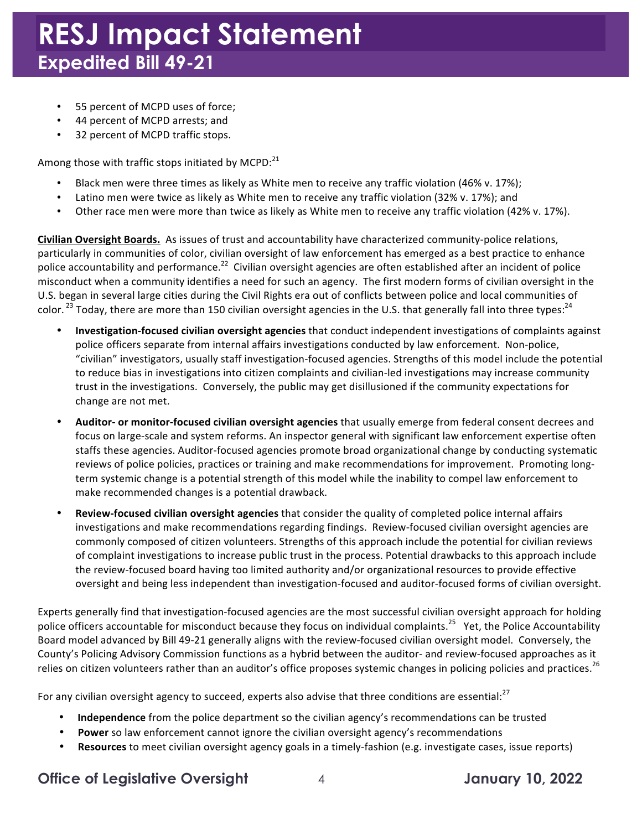- 55 percent of MCPD uses of force;
- 44 percent of MCPD arrests; and
- 32 percent of MCPD traffic stops.

Among those with traffic stops initiated by MCPD: $^{21}$ 

- Black men were three times as likely as White men to receive any traffic violation (46% v. 17%);
- Latino men were twice as likely as White men to receive any traffic violation (32% v. 17%); and
- Other race men were more than twice as likely as White men to receive any traffic violation (42% v. 17%).

 **Civilian Oversight Boards.** As issues of trust and accountability have characterized community-police relations, particularly in communities of color, civilian oversight of law enforcement has emerged as a best practice to enhance police accountability and [performance.](https://performance.22)<sup>22</sup> Civilian oversight agencies are often established after an incident of police misconduct when a community identifies a need for such an agency. The first modern forms of civilian oversight in the U.S. began in several large cities during the Civil Rights era out of conflicts between police and local communities of color. <sup>23</sup> Today, there are more than 150 civilian oversight agencies in the U.S. that generally fall into three types:<sup>24</sup>

- police officers separate from internal affairs investigations conducted by law enforcement. Non-police, "civilian" investigators, usually staff investigation-focused agencies. Strengths of this model include the potential to reduce bias in investigations into citizen complaints and civilian-led investigations may increase community trust in the investigations. Conversely, the public may get disillusioned if the community expectations for change are not met. **Investigation-focused civilian oversight agencies** that conduct independent investigations of complaints against
- **Auditor- or monitor-focused civilian oversight agencies that usually emerge from federal consent decrees and** focus on large-scale and system reforms. An inspector general with significant law enforcement expertise often staffs these agencies. Auditor-focused agencies promote broad organizational change by conducting systematic reviews of police policies, practices or training and make recommendations for improvement. Promoting longterm systemic change is a potential strength of this model while the inability to compel law enforcement to make recommended changes is a potential drawback.
- **Review-focused civilian oversight agencies** that consider the quality of completed police internal affairs investigations and make recommendations regarding findings. Review-focused civilian oversight agencies are commonly composed of citizen volunteers. Strengths of this approach include the potential for civilian reviews of complaint investigations to increase public trust in the process. Potential drawbacks to this approach include the review-focused board having too limited authority and/or organizational resources to provide effective oversight and being less independent than investigation-focused and auditor-focused forms of civilian oversight.

Experts generally find that investigation-focused agencies are the most successful civilian oversight approach for holding police officers accountable for misconduct because they focus on individual [complaints.](https://complaints.25)<sup>25</sup> Yet, the Police Accountability Board model advanced by Bill 49-21 generally aligns with the review-focused civilian oversight model. Conversely, the County's Policing Advisory Commission functions as a hybrid between the auditor- and review-focused approaches as it relies on citizen volunteers rather than an auditor's office proposes systemic changes in policing policies and practices.<sup>26</sup>

For any civilian oversight agency to succeed, experts also advise that three conditions are essential:<sup>27</sup>

- Independence from the police department so the civilian agency's recommendations can be trusted
- Power so law enforcement cannot ignore the civilian oversight agency's recommendations
- **Resources** to meet civilian oversight agency goals in a timely-fashion (e.g. investigate cases, issue reports)

#### **Office of Legislative Oversight** 4 **January 10, 2022**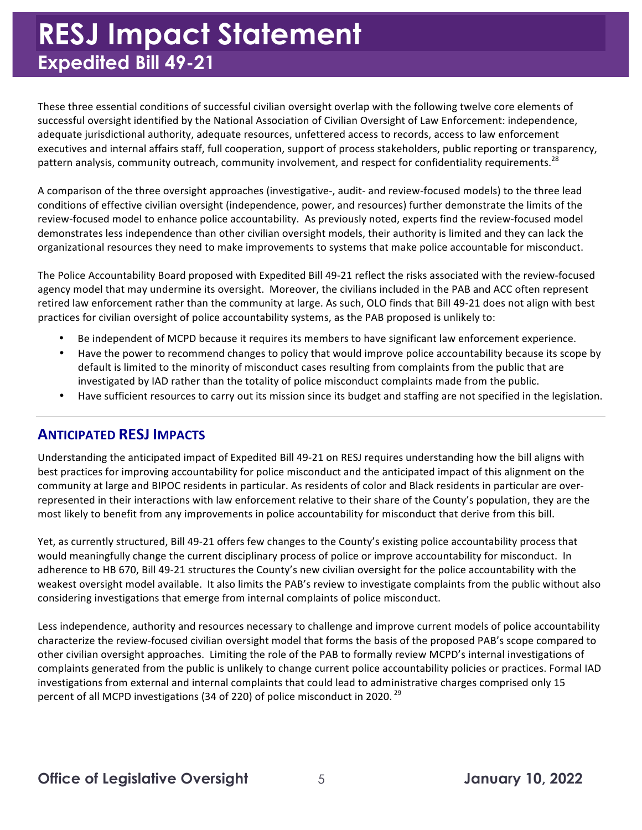These three essential conditions of successful civilian oversight overlap with the following twelve core elements of successful oversight identified by the National Association of Civilian Oversight of Law Enforcement: independence, adequate jurisdictional authority, adequate resources, unfettered access to records, access to law enforcement executives and internal affairs staff, full cooperation, support of process stakeholders, public reporting or transparency, pattern analysis, community outreach, community involvement, and respect for confidentiality [requirements.](https://requirements.28)<sup>28</sup>

A comparison of the three oversight approaches (investigative-, audit- and review-focused models) to the three lead conditions of effective civilian oversight (independence, power, and resources) further demonstrate the limits of the review-focused model to enhance police accountability. As previously noted, experts find the review-focused model demonstrates less independence than other civilian oversight models, their authority is limited and they can lack the organizational resources they need to make improvements to systems that make police accountable for misconduct.

The Police Accountability Board proposed with Expedited Bill 49-21 reflect the risks associated with the review-focused agency model that may undermine its oversight. Moreover, the civilians included in the PAB and ACC often represent retired law enforcement rather than the community at large. As such, OLO finds that Bill 49-21 does not align with best practices for civilian oversight of police accountability systems, as the PAB proposed is unlikely to:

- Be independent of MCPD because it requires its members to have significant law enforcement experience.
- Have the power to recommend changes to policy that would improve police accountability because its scope by default is limited to the minority of misconduct cases resulting from complaints from the public that are investigated by IAD rather than the totality of police misconduct complaints made from the public.
- Have sufficient resources to carry out its mission since its budget and staffing are not specified in the legislation.

#### **ANTICIPATED RESJ IMPACTS**

Understanding the anticipated impact of Expedited Bill 49-21 on RESJ requires understanding how the bill aligns with best practices for improving accountability for police misconduct and the anticipated impact of this alignment on the community at large and BIPOC residents in particular. As residents of color and Black residents in particular are overrepresented in their interactions with law enforcement relative to their share of the County's population, they are the most likely to benefit from any improvements in police accountability for misconduct that derive from this bill.

Yet, as currently structured, Bill 49-21 offers few changes to the County's existing police accountability process that would meaningfully change the current disciplinary process of police or improve accountability for misconduct. In adherence to HB 670, Bill 49-21 structures the County's new civilian oversight for the police accountability with the weakest oversight model available. It also limits the PAB's review to investigate complaints from the public without also considering investigations that emerge from internal complaints of police misconduct.

Less independence, authority and resources necessary to challenge and improve current models of police accountability characterize the review-focused civilian oversight model that forms the basis of the proposed PAB's scope compared to other civilian oversight approaches. Limiting the role of the PAB to formally review MCPD's internal investigations of complaints generated from the public is unlikely to change current police accountability policies or practices. Formal IAD investigations from external and internal complaints that could lead to administrative charges comprised only 15 percent of all MCPD investigations (34 of 220) of police misconduct in 2020.<sup>29</sup>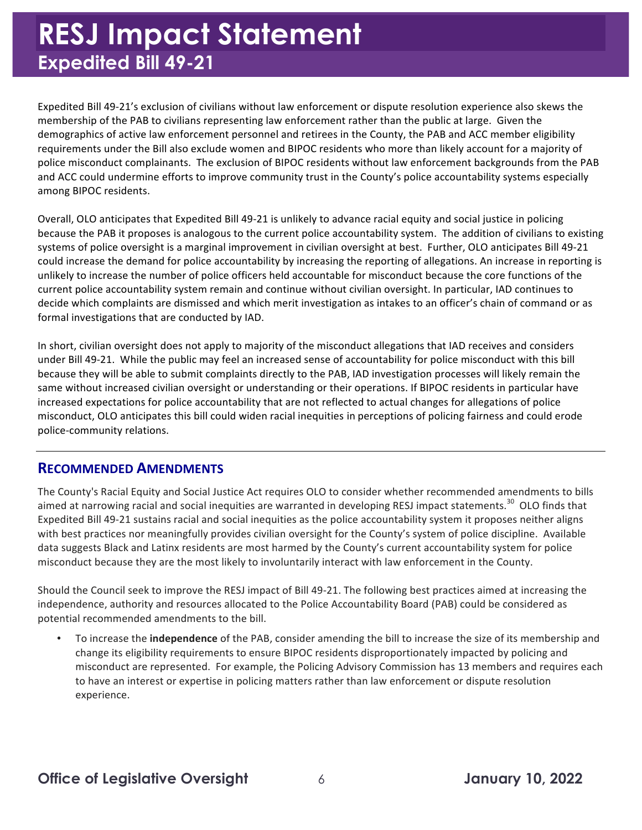Expedited Bill 49-21's exclusion of civilians without law enforcement or dispute resolution experience also skews the membership of the PAB to civilians representing law enforcement rather than the public at large. Given the demographics of active law enforcement personnel and retirees in the County, the PAB and ACC member eligibility requirements under the Bill also exclude women and BIPOC residents who more than likely account for a majority of police misconduct complainants. The exclusion of BIPOC residents without law enforcement backgrounds from the PAB and ACC could undermine efforts to improve community trust in the County's police accountability systems especially among BIPOC residents. 

Overall, OLO anticipates that Expedited Bill 49-21 is unlikely to advance racial equity and social justice in policing because the PAB it proposes is analogous to the current police accountability system. The addition of civilians to existing systems of police oversight is a marginal improvement in civilian oversight at best. Further, OLO anticipates Bill 49-21 could increase the demand for police accountability by increasing the reporting of allegations. An increase in reporting is unlikely to increase the number of police officers held accountable for misconduct because the core functions of the current police accountability system remain and continue without civilian oversight. In particular, IAD continues to decide which complaints are dismissed and which merit investigation as intakes to an officer's chain of command or as formal investigations that are conducted by IAD.

In short, civilian oversight does not apply to majority of the misconduct allegations that IAD receives and considers under Bill 49-21. While the public may feel an increased sense of accountability for police misconduct with this bill because they will be able to submit complaints directly to the PAB, IAD investigation processes will likely remain the same without increased civilian oversight or understanding or their operations. If BIPOC residents in particular have increased expectations for police accountability that are not reflected to actual changes for allegations of police misconduct, OLO anticipates this bill could widen racial inequities in perceptions of policing fairness and could erode police-community relations.

#### **RECOMMENDED AMENDMENTS**

The County's Racial Equity and Social Justice Act requires OLO to consider whether recommended amendments to bills aimed at narrowing racial and social inequities are warranted in developing RESJ impact [statements.](https://statements.30)<sup>30</sup> OLO finds that Expedited Bill 49-21 sustains racial and social inequities as the police accountability system it proposes neither aligns with best practices nor meaningfully provides civilian oversight for the County's system of police discipline. Available data suggests Black and Latinx residents are most harmed by the County's current accountability system for police misconduct because they are the most likely to involuntarily interact with law enforcement in the County.

Should the Council seek to improve the RESJ impact of Bill 49-21. The following best practices aimed at increasing the independence, authority and resources allocated to the Police Accountability Board (PAB) could be considered as potential recommended amendments to the bill.

• To increase the *independence* of the PAB, consider amending the bill to increase the size of its membership and change its eligibility requirements to ensure BIPOC residents disproportionately impacted by policing and misconduct are represented. For example, the Policing Advisory Commission has 13 members and requires each to have an interest or expertise in policing matters rather than law enforcement or dispute resolution experience.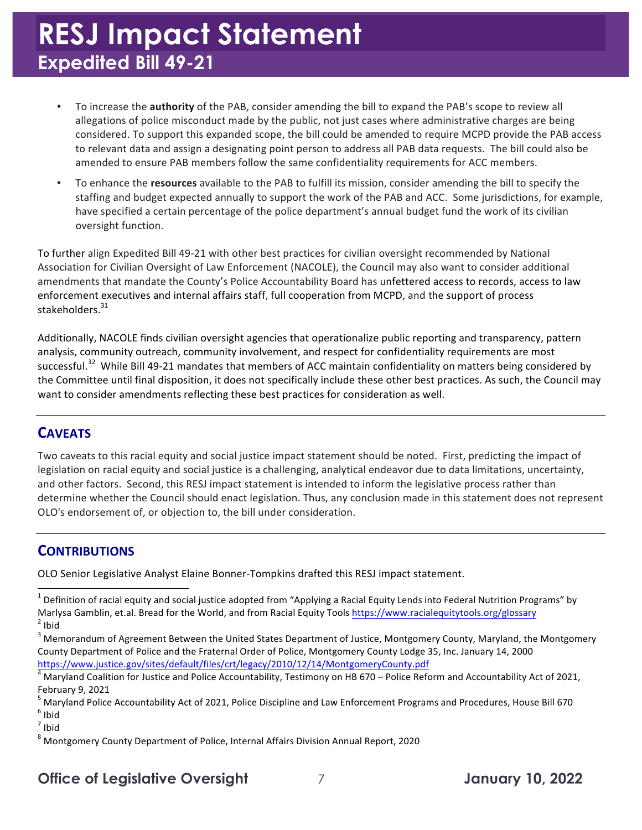- To increase the **authority** of the PAB, consider amending the bill to expand the PAB's scope to review all allegations of police misconduct made by the public, not just cases where administrative charges are being considered. To support this expanded scope, the bill could be amended to require MCPD provide the PAB access to relevant data and assign a designating point person to address all PAB data requests. The bill could also be amended to ensure PAB members follow the same confidentiality requirements for ACC members.
- To enhance the *resources* available to the PAB to fulfill its mission, consider amending the bill to specify the staffing and budget expected annually to support the work of the PAB and ACC. Some jurisdictions, for example, have specified a certain percentage of the police department's annual budget fund the work of its civilian oversight function.

To further align Expedited Bill 49-21 with other best practices for civilian oversight recommended by National Association for Civilian Oversight of Law Enforcement (NACOLE), the Council may also want to consider additional amendments that mandate the County's Police Accountability Board has unfettered access to records, access to law enforcement executives and internal affairs staff, full cooperation from MCPD, and the support of process [stakeholders.](https://stakeholders.31) 31

Additionally, NACOLE finds civilian oversight agencies that operationalize public reporting and transparency, pattern analysis, community outreach, community involvement, and respect for confidentiality requirements are most [successful.](https://successful.32)<sup>32</sup> While Bill 49-21 mandates that members of ACC maintain confidentiality on matters being considered by the Committee until final disposition, it does not specifically include these other best practices. As such, the Council may want to consider amendments reflecting these best practices for consideration as well.

#### **CAVEATS**

 Two caveats to this racial equity and social justice impact statement should be noted. First, predicting the impact of and other factors. Second, this RESJ impact statement is intended to inform the legislative process rather than determine whether the Council should enact legislation. Thus, any conclusion made in this statement does not represent OLO's endorsement of, or objection to, the bill under consideration. legislation on racial equity and social justice is a challenging, analytical endeavor due to data limitations, uncertainty,

#### **CONTRIBUTIONS**

 

OLO Senior Legislative Analyst Elaine Bonner-Tompkins drafted this RESJ impact statement.

 $<sup>7</sup>$  Ibid</sup>

#### **Office of Legislative Oversight** 7 **January 10, 2022**

 $^1$  Definition of racial equity and social justice adopted from "Applying a Racial Equity Lends into Federal Nutrition Programs" by Marlysa Gamblin, et.al. Bread for the World, and from Racial Equity Tools <u><https://www.racialequitytools.org/glossary></u><br><sup>2</sup> Ibid  $2$  lbid

 $^3$  Memorandum of Agreement Between the United States Department of Justice, Montgomery County, Maryland, the Montgomery County Department of Police and the Fraternal Order of Police, Montgomery County Lodge 35, Inc. January 14, 2000 <https://www.justice.gov/sites/default/files/crt/legacy/2010/12/14/MontgomeryCounty.pdf>

 $^4$  Maryland Coalition for Justice and Police Accountability, Testimony on HB 670 – Police Reform and Accountability Act of 2021, February 9, 2021

Police Accountability Act of 2021, Police Discipline and Law Enforcement Programs and Procedures, House Bill  $6$  Ibid February 9, 2021<br><sup>5</sup> Maryland Police Accountability Act of 2021, Police Discipline and Law Enforcement Programs and Procedures, House Bill 670<br><sup>6</sup> Ibid

 $^8$  Montgomery County Department of Police, Internal Affairs Division Annual Report, 2020